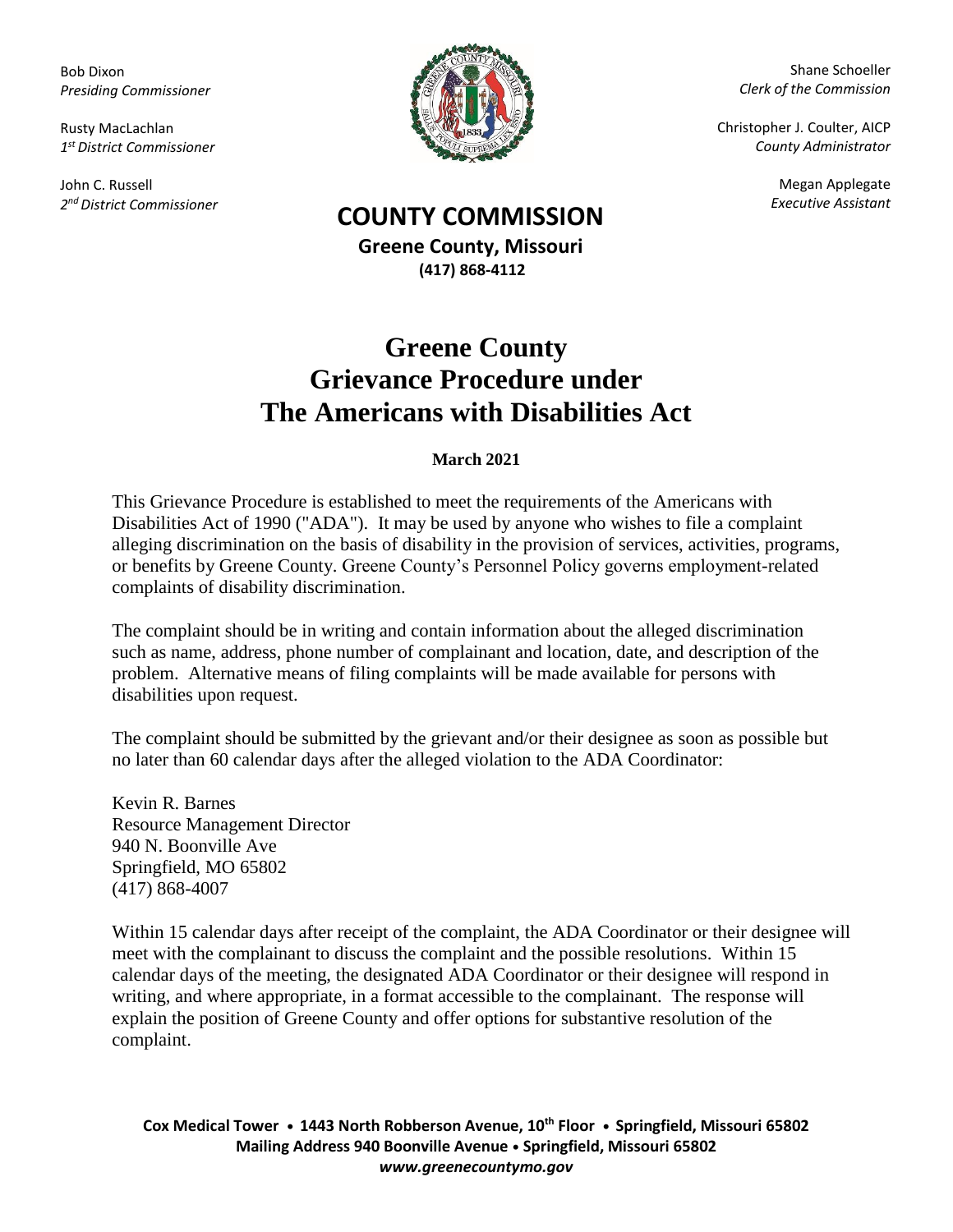Bob Dixon *Presiding Commissioner*

Rusty MacLachlan *1 st District Commissioner*

John C. Russell *2 nd District Commissioner*



Shane Schoeller *Clerk of the Commission*

Christopher J. Coulter, AICP *County Administrator*

Megan Applegate

## *Executive Assistant* **COUNTY COMMISSION**

**Greene County, Missouri (417) 868-4112**

## **Greene County Grievance Procedure under The Americans with Disabilities Act**

## **March 2021**

This Grievance Procedure is established to meet the requirements of the Americans with Disabilities Act of 1990 ("ADA"). It may be used by anyone who wishes to file a complaint alleging discrimination on the basis of disability in the provision of services, activities, programs, or benefits by Greene County. Greene County's Personnel Policy governs employment-related complaints of disability discrimination.

The complaint should be in writing and contain information about the alleged discrimination such as name, address, phone number of complainant and location, date, and description of the problem. Alternative means of filing complaints will be made available for persons with disabilities upon request.

The complaint should be submitted by the grievant and/or their designee as soon as possible but no later than 60 calendar days after the alleged violation to the ADA Coordinator:

Kevin R. Barnes Resource Management Director 940 N. Boonville Ave Springfield, MO 65802 (417) 868-4007

Within 15 calendar days after receipt of the complaint, the ADA Coordinator or their designee will meet with the complainant to discuss the complaint and the possible resolutions. Within 15 calendar days of the meeting, the designated ADA Coordinator or their designee will respond in writing, and where appropriate, in a format accessible to the complainant. The response will explain the position of Greene County and offer options for substantive resolution of the complaint.

**Cox Medical Tower • 1443 North Robberson Avenue, 10th Floor • Springfield, Missouri 65802 Mailing Address 940 Boonville Avenue • Springfield, Missouri 65802** *www.greenecountymo.gov*